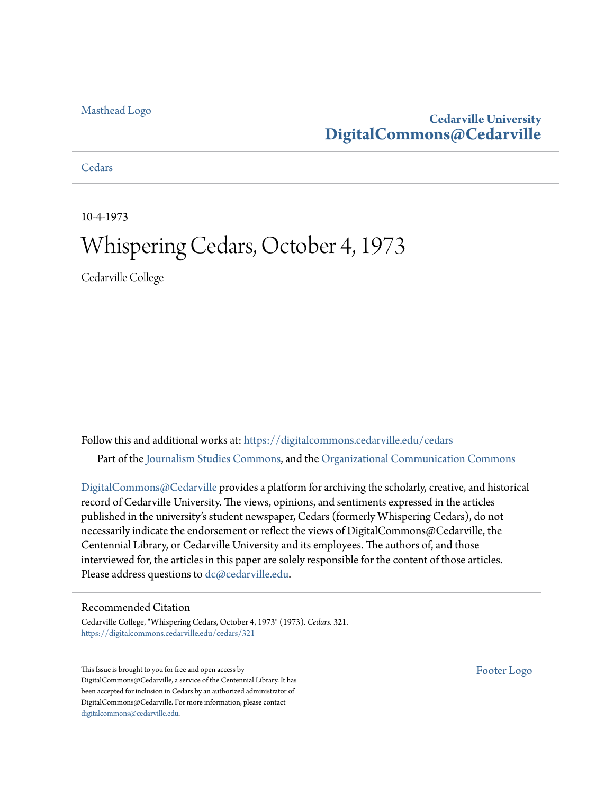#### [Masthead Logo](http://www.cedarville.edu/?utm_source=digitalcommons.cedarville.edu%2Fcedars%2F321&utm_medium=PDF&utm_campaign=PDFCoverPages)

### **Cedarville University [DigitalCommons@Cedarville](https://digitalcommons.cedarville.edu?utm_source=digitalcommons.cedarville.edu%2Fcedars%2F321&utm_medium=PDF&utm_campaign=PDFCoverPages)**

**[Cedars](https://digitalcommons.cedarville.edu/cedars?utm_source=digitalcommons.cedarville.edu%2Fcedars%2F321&utm_medium=PDF&utm_campaign=PDFCoverPages)** 

10-4-1973

## Whispering Cedars, October 4, 1973

Cedarville College

Follow this and additional works at: [https://digitalcommons.cedarville.edu/cedars](https://digitalcommons.cedarville.edu/cedars?utm_source=digitalcommons.cedarville.edu%2Fcedars%2F321&utm_medium=PDF&utm_campaign=PDFCoverPages) Part of the [Journalism Studies Commons](http://network.bepress.com/hgg/discipline/333?utm_source=digitalcommons.cedarville.edu%2Fcedars%2F321&utm_medium=PDF&utm_campaign=PDFCoverPages), and the [Organizational Communication Commons](http://network.bepress.com/hgg/discipline/335?utm_source=digitalcommons.cedarville.edu%2Fcedars%2F321&utm_medium=PDF&utm_campaign=PDFCoverPages)

[DigitalCommons@Cedarville](http://digitalcommons.cedarville.edu/) provides a platform for archiving the scholarly, creative, and historical record of Cedarville University. The views, opinions, and sentiments expressed in the articles published in the university's student newspaper, Cedars (formerly Whispering Cedars), do not necessarily indicate the endorsement or reflect the views of DigitalCommons@Cedarville, the Centennial Library, or Cedarville University and its employees. The authors of, and those interviewed for, the articles in this paper are solely responsible for the content of those articles. Please address questions to [dc@cedarville.edu.](mailto:dc@cedarville.edu)

#### Recommended Citation

Cedarville College, "Whispering Cedars, October 4, 1973" (1973). *Cedars*. 321. [https://digitalcommons.cedarville.edu/cedars/321](https://digitalcommons.cedarville.edu/cedars/321?utm_source=digitalcommons.cedarville.edu%2Fcedars%2F321&utm_medium=PDF&utm_campaign=PDFCoverPages)

This Issue is brought to you for free and open access by DigitalCommons@Cedarville, a service of the Centennial Library. It has been accepted for inclusion in Cedars by an authorized administrator of DigitalCommons@Cedarville. For more information, please contact [digitalcommons@cedarville.edu](mailto:digitalcommons@cedarville.edu).

[Footer Logo](http://www.cedarville.edu/Academics/Library.aspx?utm_source=digitalcommons.cedarville.edu%2Fcedars%2F321&utm_medium=PDF&utm_campaign=PDFCoverPages)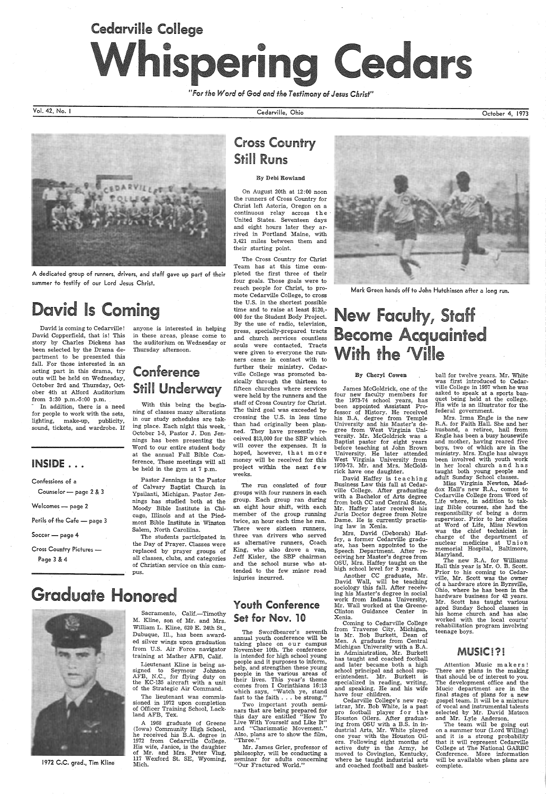# Cedarville College Whispering Cedars

*"For the Word of God and the Testimony of Jesus Christ"* 

Vol. 42, No. I

<sup>A</sup>dedicated group of runners, drivers, and staff gave up part of their summer to testify of our lord Jesus Christ.

## **David Is Coming**

David is coming to Cedarville! David Copperfield, that is! This story by Charles Dickens has been selected by the Drama department to be presented this fall. For those interested in an acting part in this drama, try outs will be held on Wednesday, October 3rd and Thursday, October 4th at Alford Auditorium from 3:30 p.m.-5:00 p.m.

Cross Country Pictures -Page 3 & 4

In addition, there is a need for people to work with the sets, lighting, make-up, publicity, sound, tickets, and wardrobe. If

### INSIDE ...

Confessions of a

Counselor — page 2 & 3  $\,$ 

Welcomes — page 2

Perils of the Cafe — page 3

Soccer — page 4

anyone is interested in helping in these areas, please come to the auditorium on Wednesday or Thursday afternoon.

#### Sacramento, Calif.-Timothy M. Kline, son of Mr. and Mrs. William L. Kline, 620 E. 24th St., Dubuque, Ill., has been awarded silver wings upon graduation

## Conference Still Underway

With this being the beginning of classes many alterations in our study schedules are taking place. Each night this week, October 1-5, Pastor J. Don Jennings has been presenting the Word to our entire student body at the annual Fall Bible Conference. These meetings will all be held in the gym at 7 p.m.

Pastor Jennings is the Pastor of Calvary Baptist Church in Ypsilanti, Michigan. Pastor Jennings has studied both at the Moody Bible Institute in Chicago, Illinois and at the Piedmont Bible Institute in Winston Salem, North Caroliina.

The students participated in the Day of Prayer. Classes were replaced by prayer groups of all classes, clubs, and categories of Christian service on this campus.

1972 C.C. grad., Tim Kline

from U.S. Air Force navigator training at Mather AFB, Calif. Lieutenant Kline is being as-

signed to Seymour Johnson AFB, N.C., for flying duty on the KC-135 aircraft with a unit of the Strategic Air Command.

The lieutenant was commissioned in 1972 upon completion of Officer Training School, Lackland AFB, Tex.

A 1968 graduate of Greene (Iowa) Community High School, he received his B.A. degree in 1972 from Cedarville College. His wife, Janice, is the daughter of Mr. and Mrs. Peter Vlug, 117 Wexford St. SE, Wyoming, Mich.

Cedarville, Ohio

Cross Country Still Runs

#### By Debi Rowland

On August 20th at 12: 00 noon the runners of Cross Country for Christ left Astoria, Oregon on <sup>a</sup> continuous relay across the United States. Seventeen days and eight hours later they arrived in Portland Maine, with 3,421 miles between them and their starting point.

The Cross Country for Christ Team has at this time completed the first three of their four goals. Those goals were to reach people for Christ, to promote Cedarville College, to cross the U.S. in the shortest possible time and to raise at least \$120,- 000 for the Student Body Project. By the use of radio, television, press, specially-prepared tracts and church services countless souls were contacted. Tracts were given to everyone the runners came in contact with to further their ministry. Cedarville College was promoted basically through the thirteen to fifteen churches where services were held by the runners and the staff of Cross Country for Christ. The third goal was exceeded by crossing the U.S. in less time than had originally been planned. They have presently received \$13,000 for the SBP which will cover the expenses. It is hoped, however, that more money will be received for this project within the next few weeks.

The run consisted of four groups with four runners in each group. Each group ran during an eight hour shift, with each member of the group running twice, an hour each time he ran. There were sixteen runners, three van drivers who served as alternative runners, Coach King, who also drove a van, Jeff Kisler, the SBP chairman and the school nurse who attended to the few minor road injuries incurred.

## Youth Conference Set for Nov. 10

Attention Music makers! There are plans in the making that should be of interest to you. The development office and the Mucic department are in the final stages of plans for a new gospel team. It will be a mixture of vocal and instrumental talents selected by Mr. David Matson and Mr. Lyle Anderson.

The team will be going out on a summer tour (Lord Willing) and it is a strong probability that it will represent Cedarville College at The National GARBC Conference. More information will be available when plans are complete.

The Swordbearer's seventh annual youth conference will be taking place on our campus November 10th. The conference is intended for high school young people and it purposes to inform, help, and strengthen these young people in the various areas of their lives. This year's theme comes from I Corinthians 16: 13 which says, "Watch ye, stand fast to the faith . . . be strong."

Two important youth seminars that are being prepared for this day are entitled "How To Live With Yourself and Like It" and "Charismatic Movement." Also, plans are to show the film, "Three."

Mr. James Grier, professor of <sup>p</sup>hilosophy, will be conducting <sup>a</sup> seminar for adults concerning "Our Fractured World."

October 4, 1973

## **Graduate Honored**





Mark Green hands off to John Hutchinson after a long run.

## ew Faculty, Become Acauainted ith the 'Ville

#### By Cheryl Cowen

James McGoldrick, one of the four new faculty members for the 1973-74 school years, has been appointed Assistant Professor of History. He received his B.A. degree from Temple University and his Master's degree from West Virginia University. Mr. McGoldrick was <sup>a</sup> Baptist pastor for eight years before teaching at John Brown University. He later attended West Virginia University from 1970-73. Mr. and Mrs. McGoldrick have one daughter.

David Haffey is teaching Business Law this fall at Cedarville College. After graduating with a Bachelor of Arts degree from both CC and Central State, Mr. Haffey later received his Juris Doctor degree from Notre Dame. He is currently practising law in Xenia.

Mrs. David (Deborah) Haffey, a former Cedarville graduate, has been appointed to the Speech Department. After receiving her Master's degree from OSU, Mrs. Haffey taught on the high school level for 3 years.

Another CC graduate, Mr. avid Wall, will be teaching sociology this fall. After receiving his Master's degree in social work from Indiana University, Mr. Wall worked at the Greene-Clinton Guidance Center in Xenia. Coming to Cedarville College from Traverse City, Michigan, is Mr. Bob Burkett, Dean of Men. A graduate from Central Michigan University with a B.A. in Administration, Mr. Burkett has taught and coached football and later became both a high school principal and school superintendent. Mr. Burkett is specialized in reading, writing, and speaking. He and his wife have four children. Cedarville College's new registrar, Mr. Bob White, is a past pro football player for the Houston Oilers. After graduating from OSU with a B.S. in industrial Arts, Mr. White played one year with the Houston Oilers. Following eight months of active duty in the Army, he moved to Covington, Kentucky, where he taught industrial arts and coached football and basketball for twelve years. Mr. White was first introduced to Cedar ville College in 1957 when he was asked to speak at a sports ban quet being held at the college. His wife is an illustrator for the federal government.

Mrs. Irma Engle is the new R.A. for Faith Hall. She and her husband, a retiree, hail from Engle has been a busy housewife and mother, having reared five boys, two of which are in the ministry. Mrs. Engle has always been involved with youth work in her local church and has taught both young people and adult Sunday School classes.

Miss Virginia Newton, Mad dox Hall's new R.A., comes to Cedarville College from Word of Life where, in addition to tak ing Bible courses, she had the responsibility of being a dorm supervisor. Prior to her studies at Word of Life, Miss Newton was the chief technician in charge of the department of nuclear medicine at Union memorial Hospital, Baltimore, Maryland.

The new R.A. for Williams Hall this year is Mr. 0. B. Scott. Prior to his coming to Cedar ville, Mr. Scott was the owner of a hardware store in Byrsville, Ohio, where he has been in the hardware business for 42 years. Mr. Scott has taught various aged Sunday School classes in his home church and has also worked with the local courts' rehabilitation program involving teenage boys.

### MUSIC!?!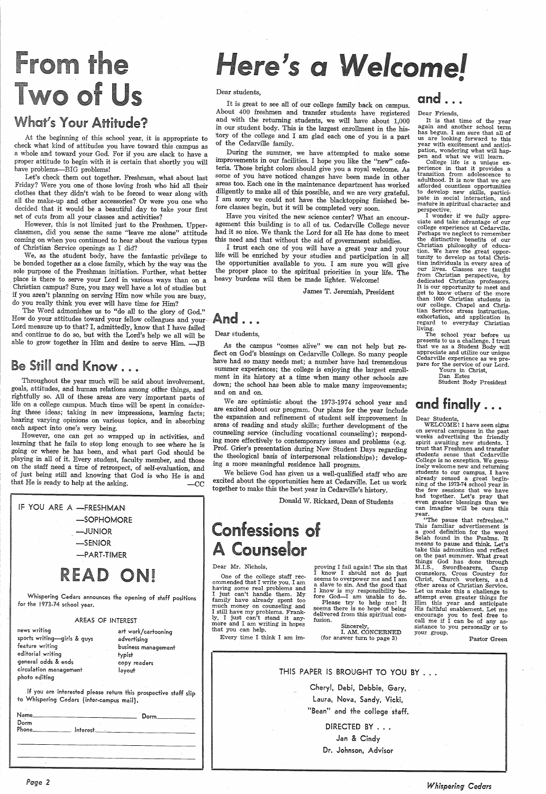# From the Two of Us

## hat's Your Attitude?

At the beginning of this school year, it is appropriate to check what kind of attitudes you have toward this campus as a whole and toward your God. For if you are slack to have a proper attitude to begin with it is certain that shortly you will have problems—BIG problems!

We, as the student body, have the fantastic privilege to be bonded together as a close family, which by the way was the sole purpose of the Freshman initiation. Further, what better Christian campus? Sure, you may well have a lot of studies but<br>if you aren't planning on serving Him now while you are busy. do you really think you ever will have time for Him?

The Word admonishes us to "do all to the glory of God."<br>How do your attitudes toward your fellow colleagues and your Lord measure up to that? I, admittedly, know that I have failed and continue to do so, but with the Lord's help we all will be able to grow together in Him and desire to serve Him. - JB

## Be Still and Know . . .

Throughout the year much will be said about involvement, goals, attitudes, and human relations among other things, and rightfully so. All of these areas are very important parts of life on a college campus. Much time will be spent in considering these ideas; taking in new impressions, learning facts; hearing varying opinions on various topics, and in absorbing each aspect into one's very being.

Let's check them out together. Freshman, what about last Friday? Were you one of those loving frosh who hid all their clothes that they didn't wish to be forced to wear along with all the make-up and other accessories? Or were you one who decided that it would be a beautiful day to take your first set of cuts from all your classes and activities?

However, this is not limited just to the Freshmen. Upper- classmen, did you sense the same "leave me alone" attitude coming on when you continued to hear about the various types of Christian Service openings as I did?

However, one can get so wrapped up in activities, and learning that he fails to stop long enough to see where he is going or where he has been, and what part God should be <sup>p</sup>laying in all of it. Every student, faculty member, and those on the staff need a time of retrospect, of self-evaluation, and of just being still and knowing that God is who He is and that He is ready to help at the asking.  $\qquad -CC$ 

IF YOU ARE A -FRESHMAN -SOPHOMORE -JUNIOR -SENIOR -PART-TIMER READ ONI

# Here's a Welcome!

During the summer, we have attempted to make some improvements in our facilities. I hope you like the "new" cafeteria. Those bright colors should give you a royal welcome. As some of you have noticed changes have been made in other areas too. Each one in the maintenance department has worked diligently to make all of this possible, and we are very grateful.<br>I am sorry we could not have the blacktopping finished before classes begin, but it will be completed very soon.

Have you visited the new science center? What an encour-<br>agement this building is to all of us. Cedarville College never had it so nice. We thank the Lord for all He has done to meet

this need and that without the aid of government subsidies.<br>I trust each one of you will have a great year and your life will be enriched by your studies and participation in all<br>the opportunities available to you. I am sure you will give<br>the proper place to the spiritual priorities in your life. The heavy burdens will then be made lighter. Welcome!

We are optimistic about the 1973-1974 school year and are excited about our program. Our plans for the year include the expansion and refinement of student self improvement in areas of reading and study skills; further development of the

ing more effectively to contemporary issues and problems (e.g.<br>Prof. Grier's presentation during New Student Days regarding<br>the theological basis of interpersonal relationships); develop-<br>ing a more meaningful residence ha

Whispering Cedars announces the opening of staff positions for the 1973-74 school year.

#### AREAS OF INTEREST

news writing sports writing-girls & guys feature writing editorial writing general odds & ends circulation management photo editing

art work/cartooning advertising business management typist copy readers layout

If you are interested please return this prospective staff slip to Whispering Cedars (inter-campus mail).

One of the college staff rec-<br>ommended that I write you. I am<br>having some real problems and<br>I just can't handle them. My family have already spent too<br>much money on counseling and I still have my problems. Frankly, I just can't stand it any· more and I am writing in hopes that you can help.

**Confessions of** 

Counselor

| Name_<br>Dorm       |                 | Dorm________ |  |  |
|---------------------|-----------------|--------------|--|--|
| Phone______________ | Interest_______ |              |  |  |
|                     |                 |              |  |  |
|                     |                 |              |  |  |
|                     |                 |              |  |  |

*Page 2* 

Dear students,

Sincerely,<br>I. AM. CONCERNED (for answer turn to page 3)

It is great to see all of our college family back on campus. About 400 freshmen and transfer students have registered and with the returning students, we will have about 1,000 in our student body. This is the largest enrollment in the hisitory of the college and I am glad each one of you is a part of the Cedarville family.

> College life is a unique ex perience *in* that it provides a transition from adolescence to adulthood. It is now that we are afforded countless opportunities to develop new skills, participate in social interaction, and mature *in* spiritual character and perspective.<br>I wonder if we fully appre-

ciate and take advantage of our college experience at Cedarville. Perhaps we neglect to remember the distinctive benefits of our<br>Christian philosophy of education. We have the great oppor-<br>tunity to develop as total Chris-<br>tian individuals in every area of<br>our lives. Classes are taught from Christian perspective, by dedicated Christian professors.<br>It is our opportunity to meet and get to know others of the more than 1000 Christian students *in*  our college. Chapel and Christian Service stress instruction, exhortation, and application in regard to everyday Christian living.

The school year before us<br>presents to us a challenge. I trust that we as a Student Body will appreciate and utilize our unique<br>Cedarville experience as we prepare for the service of our Lord. Yours *in* Christ,

James T. Jeremiah, President

And .....

Dear students,

As the campus "comes alive" we can not help but re- flect on God's blessings on Cedarville College. So many people have had so many needs met; a number have had tremendous

summer experiences; the college is enjoying the largest enrollment in its history at a time when many other schools are down; the school has been able to make many improvements;

and on and on.

We believe God has given us a well-qualified staff who are excited about the opportunities here at Cedarville. Let us work together to make this the best year in Cedarville's history.

Donald W. Rickard, Dean of Students

Dear Mr. Nichols,

Every time I think I am im-

I know is my responsibility be-<br>fore God-I am unable to do. Please try to help me! It<br>seems there is no hope of being delivered from this spiritual con-<br>fusion.

proving I fail again! The *sin* that <sup>I</sup>know I should not do just seems to overpower me and I am

## and ...

Dear Friends,

It is that time of the year again and another school term has begun. I am sure that all of us are looking forward to this year with excitement and anticipation, wondering what will happen and what we will learn.

Dan Estes

Student Body President

## and finally ....

Dear Students,

WELCOME! I have seen signs on several campuses *in* the past weeks advertising the friendly spirit awaiting new students. <sup>I</sup> trust that Freshmen and transfer students sense that Cedarville College is no exception. We genu-<br>inely welcome new and returning<br>students to our campus. I have<br>already sensed a great begin-<br>ning of the 1973-74 school year in<br>the few sessions that we have had together. Let's pray that even greater blessings than we can imagine will be ours this year.

"The pause that refreshes." This familiar advertisement is a good definition for the word Selah found in the Psalms. It means to pause and think. Let's take this admonition and reflect on the past summer. What great things God has done through M.I.S., Swordbearers, Camp counselors, Cross Country for Christ, Church workers, and other areas of Christian Service. Let us make this a challenge to<br>attempt even greater things for Him this year and anticipate<br>His faithful enablement. Let me encourage you to feel free to<br>call me if I can be of any assistance to you personally or to your group.

Pastor Green



*Whispering Cedars*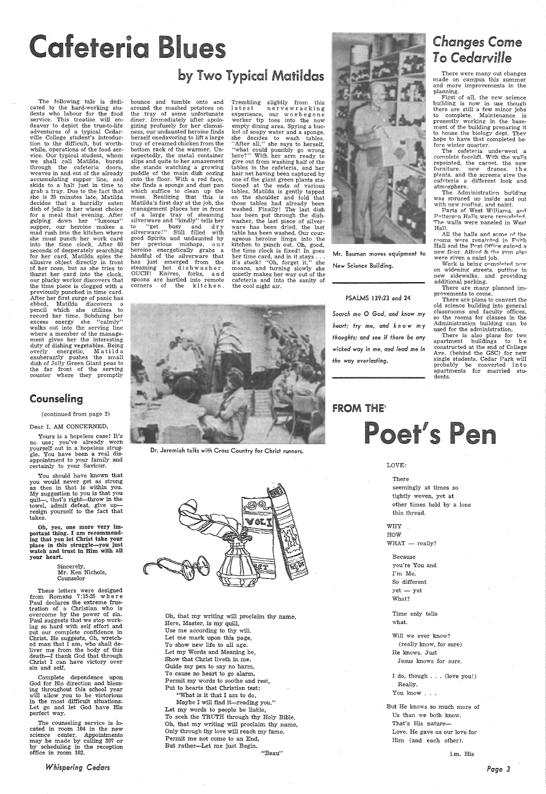The following tale is dedicated to the hard-working students who labour for the food service. This treatise will endeaver to depict the true-to-life adventures of a typical Cedarville College student's introduction to the difficult, but worthwhile, operations of the food service. Our typical student, whom we shall call Matilda, bursts through the cafeteria doors, weaves in and out of the already accumulating supper line, and skids to a halt just in time to grab a tray. Due to the fact that she is 25 minutes late, Matilda decides that a hurridly eaten dish of jello is her wisest choice for a meal that evening. After gulping down her "luxeous" supper, our heroine makes <sup>a</sup> mad rush into the kitchen where she must punch her work card into the time clock. After 60 seconds of desperately searching for her card, Matilda spies the allusive object directly in front of her nose, but as she tries to thurst her card into the clock, our plucky worker discovers that the time piece is clogged with <sup>a</sup> previously punched in time card. After her first surge of panic has ebbed, Matilda discovers <sup>a</sup> pencil which she utilizes to record her time. Subduing her excess energy she "calmly" walks out into the serving line where a member of the management gives her the interesting duty of dishing vegetables. Being overly energetic, Matilda exuberantly pushes the small dish of Jolly Green Giant peas to the far front of the serving counter where they promptly

## Counseling

bounce and tumble onto and around the mashed potatoes on the tray of some unfortunate diner. Immediately after apologizing profusely for her clumsiness, our undaunted heroine finds herself enedavoring to lift a large tray of creamed chicken from the bottom rack of the warmer. Unexpectedly, the metal container slips and quite to her amazement she stands watching a growing puddle of the main dish oozing onto the floor. With a red face, she finds <sup>a</sup>sponge and dust pan which suffice to clean up the mess. Realizing that this is Matilda's first day at the job, the management places her in front of a large tray of steaming silverware and "kindly" tells her to "get busy and dry silverware!" Still filled with good Spirits and undaunted by her previous mishaps, our heroine energetically grabs a handful of the silverware that has just emerged from the steaming hot dishwasher. OUCH! Knives, forks, and spoons are hurtled into remote corners of the kitchen.

#### ( continued from page 2)

#### Dear I. AM CONCERNED,

Yours is a hopeless case! It's no use; you've already worn yourself out in a hopeless struggle. You have been a real disappointment to your family and certainly to your Saviour.

You should have known that you would never get as strong as thes in that is within you. My suggestion to you is that you quit-, that's right-throw in the towel, admit defeat, give upresign yourself to the fact that takes.

Oh, yes, one more very important thing. I am recommending that you let Christ take your place in this struggle-you just watch and trust in Him with all your heart.

> Sincerely, Mr. Ken Nichols, Counselor



These letters were designed from Romans 7: 15-25 w her e Paul declares the extreme frustration of a Christian who is overcome by the power of sin. Paul suggests that we stop working so hard with self effort and put our complete confidence in Christ. He suggests, Oh, wretched man that I am, who shall deliver me from the body of this death-I thank God that through Christ I can have victory over sin and self.

Complete dependence upon God for His direction and blessing throughout this school year will allow you to be victorious in the most difficult situations. Let go and let God have His perfect way.

Maybe I will find it-reading you." Let my words to people be liable, To seek the TRUTH through thy Holy Bible. Oh, that my writing will proclaim thy name, Only through thy love will reach my fame. Permit me not come to an End, But rather-Let me just Begin.

The counseling service is located in room 104 in the new science center. Appointments may be made by calling 307 or by scheduling in the reception office in room 102.

*Whispering Cedars* 

## **Changes Come** To *Cedarville*

# feteria Blu

## by Two Typical Matildas

First of all, the new science building is now in use though there are still a few minor jobs to complete. Maintenance is presently working in the basement of the building preparing it to house the biology dept. They hope to have that completed before winter quarter.

Parts of West Williams, and Patterson Halls were remodeled. The walls were paneled in West. Hall.

All the halls and some of the rooms were repainted in Faith Hall and the Post Office gained a new floor. Alford & the gvm also were given a paint job.

Work is being completed now on widening streets. putting in new sidewalks. and providing additional parking.

WHY HOW  $WHAT$   $-$  really?

> $yet - yet$ What?

But He knows so much more of Us than we both know. That's His nature-Love. He gave us our love for Him (and each other).

Trembling slightly from this latest nervewracking experience, our w o e b e g on <sup>e</sup> worker tip toes into the now empty dining area. Spying a bucket of soapy water and <sup>a</sup>sponge, she decides to wash tables. "After all," she says to herself, ''what could possibly go wrong here?" With her arm ready to give out from washing half of the tables in the cafeteria, and her hair net having been captured by one of the giant green plants sta-tioned at the ends of various tables, Matilda is gently tapped on the shoulder and told that those tables had already been washed. Finally! The last dish has been put through the dishwasher, the last piece of silverware has been dried, the last table has been washed. Our courageous heroine limps into the kitchen to punch out. Oh, good, the time clock is fixed! In goes her time card, and in it stays ... it's stuck! "Oh, forget it," she moans, and turning slowly she quietly makes her way out of the cafeteria and into the sanity of the cool night air.



Dr. Jeremiah talks with Cross Country for Christ runners.



## **FROM THE<sup>®</sup>**

Poet's Pen

Oh, that my writing will proclaim thy name, Here, Master, is my quill, Use me according to thy will. Let me mark upon this page, To show new life to all age. Let my Words and Meaning be, Show that Christ liveth in me. Guide my pen to say no harm, To cause no heart to go alarm. Permit my words to soothe and rest, Put to hearts that Christian test: "What is it that I am to do,

"Beau"

Mr. Bauman moves equipment to New Science Building.

PSALMS 139:23 and 24 *Search* me O *God, and know my heart; fry* me, *and kn* <sup>o</sup>*w my thoughts; and* see if *there* be *any wicked way in* me, *and lead me in the way everlasting.* 

There were many out changes made on campus this summer and more improvements in the planning.

The cafeteria underwent a comnlete facelift. With the walls repainted, the carnet, the new furniture, new dranes. the plants, and the screens give the cafeteria a different look and atmosphere.

The Administration building was spruced up inside and out with new roofing, and paint.

There are many planned improvements to come.

There are plans to convert the old science building into general classrooms and faculty offices, so the rooms for classes in the Administration building can be used for the administration.

 There is also plans for two apartment buildings to b e constructed at the end of College Ave. (behind the GSC) for new single students. Cedar Park will probably be converted in to apartments for married students.

#### LOVE:

#### There

seemingly at times so tightly woven, yet at other times held by a lone thin thread.

Because you're You and I'm Me. So different

Time only tells what.

Will we ever know? (really know, for sure) He knows. Just Jesus knows for sure.

I do, though ... (love you!) Really. You know ...

i.m. His

*Page 3*